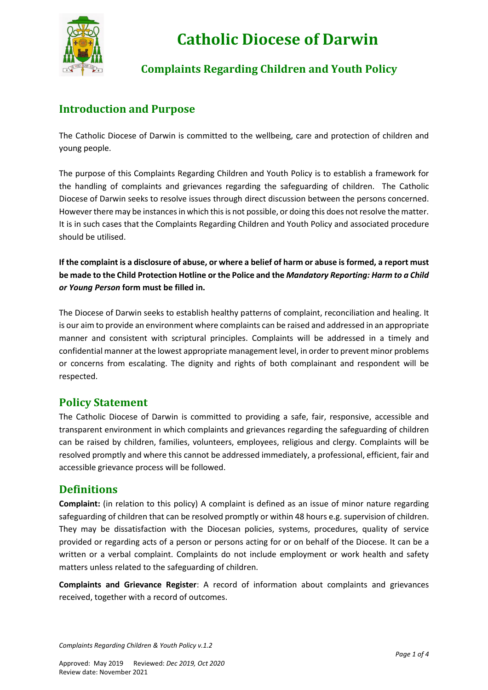

# **Catholic Diocese of Darwin**

# **Complaints Regarding Children and Youth Policy**

# **Introduction and Purpose**

The Catholic Diocese of Darwin is committed to the wellbeing, care and protection of children and young people.

The purpose of this Complaints Regarding Children and Youth Policy is to establish a framework for the handling of complaints and grievances regarding the safeguarding of children. The Catholic Diocese of Darwin seeks to resolve issues through direct discussion between the persons concerned. However there may be instances in which this is not possible, or doing this does not resolve the matter. It is in such cases that the Complaints Regarding Children and Youth Policy and associated procedure should be utilised.

**If the complaint is a disclosure of abuse, or where a belief of harm or abuse is formed, a report must be made to the Child Protection Hotline or the Police and the** *Mandatory Reporting: Harm to a Child or Young Person* **form must be filled in.**

The Diocese of Darwin seeks to establish healthy patterns of complaint, reconciliation and healing. It is our aim to provide an environment where complaints can be raised and addressed in an appropriate manner and consistent with scriptural principles. Complaints will be addressed in a timely and confidential manner at the lowest appropriate management level, in order to prevent minor problems or concerns from escalating. The dignity and rights of both complainant and respondent will be respected.

### **Policy Statement**

The Catholic Diocese of Darwin is committed to providing a safe, fair, responsive, accessible and transparent environment in which complaints and grievances regarding the safeguarding of children can be raised by children, families, volunteers, employees, religious and clergy. Complaints will be resolved promptly and where this cannot be addressed immediately, a professional, efficient, fair and accessible grievance process will be followed.

### **Definitions**

**Complaint:** (in relation to this policy) A complaint is defined as an issue of minor nature regarding safeguarding of children that can be resolved promptly or within 48 hours e.g. supervision of children. They may be dissatisfaction with the Diocesan policies, systems, procedures, quality of service provided or regarding acts of a person or persons acting for or on behalf of the Diocese. It can be a written or a verbal complaint. Complaints do not include employment or work health and safety matters unless related to the safeguarding of children.

**Complaints and Grievance Register**: A record of information about complaints and grievances received, together with a record of outcomes.

*Complaints Regarding Children & Youth Policy v.1.2*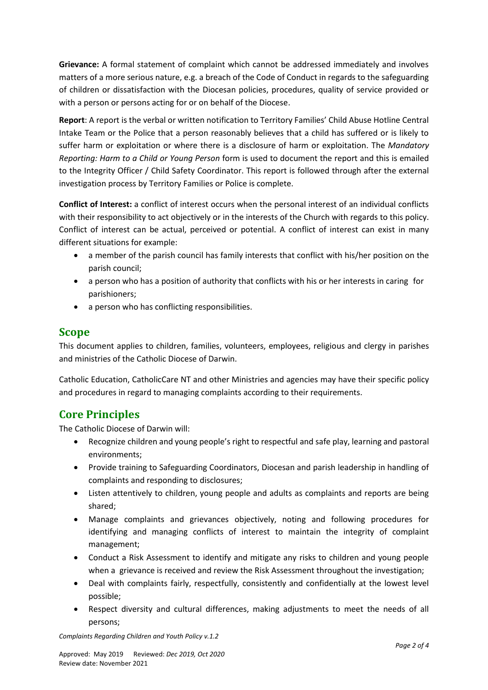**Grievance:** A formal statement of complaint which cannot be addressed immediately and involves matters of a more serious nature, e.g. a breach of the Code of Conduct in regards to the safeguarding of children or dissatisfaction with the Diocesan policies, procedures, quality of service provided or with a person or persons acting for or on behalf of the Diocese.

**Report**: A report is the verbal or written notification to Territory Families' Child Abuse Hotline Central Intake Team or the Police that a person reasonably believes that a child has suffered or is likely to suffer harm or exploitation or where there is a disclosure of harm or exploitation. The *Mandatory Reporting: Harm to a Child or Young Person* form is used to document the report and this is emailed to the Integrity Officer / Child Safety Coordinator. This report is followed through after the external investigation process by Territory Families or Police is complete.

**Conflict of Interest:** a conflict of interest occurs when the personal interest of an individual conflicts with their responsibility to act objectively or in the interests of the Church with regards to this policy. Conflict of interest can be actual, perceived or potential. A conflict of interest can exist in many different situations for example:

- a member of the parish council has family interests that conflict with his/her position on the parish council;
- a person who has a position of authority that conflicts with his or her interests in caring for parishioners;
- a person who has conflicting responsibilities.

## **Scope**

This document applies to children, families, volunteers, employees, religious and clergy in parishes and ministries of the Catholic Diocese of Darwin.

Catholic Education, CatholicCare NT and other Ministries and agencies may have their specific policy and procedures in regard to managing complaints according to their requirements.

# **Core Principles**

The Catholic Diocese of Darwin will:

- Recognize children and young people's right to respectful and safe play, learning and pastoral environments;
- Provide training to Safeguarding Coordinators, Diocesan and parish leadership in handling of complaints and responding to disclosures;
- Listen attentively to children, young people and adults as complaints and reports are being shared;
- Manage complaints and grievances objectively, noting and following procedures for identifying and managing conflicts of interest to maintain the integrity of complaint management;
- Conduct a Risk Assessment to identify and mitigate any risks to children and young people when a grievance is received and review the Risk Assessment throughout the investigation;
- Deal with complaints fairly, respectfully, consistently and confidentially at the lowest level possible;
- Respect diversity and cultural differences, making adjustments to meet the needs of all persons;

*Complaints Regarding Children and Youth Policy v.1.2*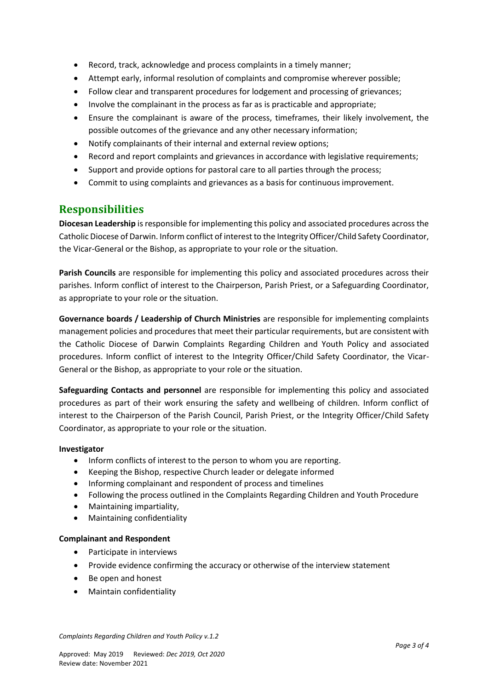- Record, track, acknowledge and process complaints in a timely manner;
- Attempt early, informal resolution of complaints and compromise wherever possible;
- Follow clear and transparent procedures for lodgement and processing of grievances;
- Involve the complainant in the process as far as is practicable and appropriate;
- Ensure the complainant is aware of the process, timeframes, their likely involvement, the possible outcomes of the grievance and any other necessary information;
- Notify complainants of their internal and external review options;
- Record and report complaints and grievances in accordance with legislative requirements;
- Support and provide options for pastoral care to all parties through the process;
- Commit to using complaints and grievances as a basis for continuous improvement.

### **Responsibilities**

**Diocesan Leadership** is responsible for implementing this policy and associated procedures across the Catholic Diocese of Darwin. Inform conflict of interest to the Integrity Officer/Child Safety Coordinator, the Vicar-General or the Bishop, as appropriate to your role or the situation.

**Parish Councils** are responsible for implementing this policy and associated procedures across their parishes. Inform conflict of interest to the Chairperson, Parish Priest, or a Safeguarding Coordinator, as appropriate to your role or the situation.

**Governance boards / Leadership of Church Ministries** are responsible for implementing complaints management policies and procedures that meet their particular requirements, but are consistent with the Catholic Diocese of Darwin Complaints Regarding Children and Youth Policy and associated procedures. Inform conflict of interest to the Integrity Officer/Child Safety Coordinator, the Vicar-General or the Bishop, as appropriate to your role or the situation.

**Safeguarding Contacts and personnel** are responsible for implementing this policy and associated procedures as part of their work ensuring the safety and wellbeing of children. Inform conflict of interest to the Chairperson of the Parish Council, Parish Priest, or the Integrity Officer/Child Safety Coordinator, as appropriate to your role or the situation.

#### **Investigator**

- Inform conflicts of interest to the person to whom you are reporting.
- Keeping the Bishop, respective Church leader or delegate informed
- Informing complainant and respondent of process and timelines
- Following the process outlined in the Complaints Regarding Children and Youth Procedure
- Maintaining impartiality,
- Maintaining confidentiality

#### **Complainant and Respondent**

- Participate in interviews
- Provide evidence confirming the accuracy or otherwise of the interview statement
- Be open and honest
- Maintain confidentiality

*Complaints Regarding Children and Youth Policy v.1.2*